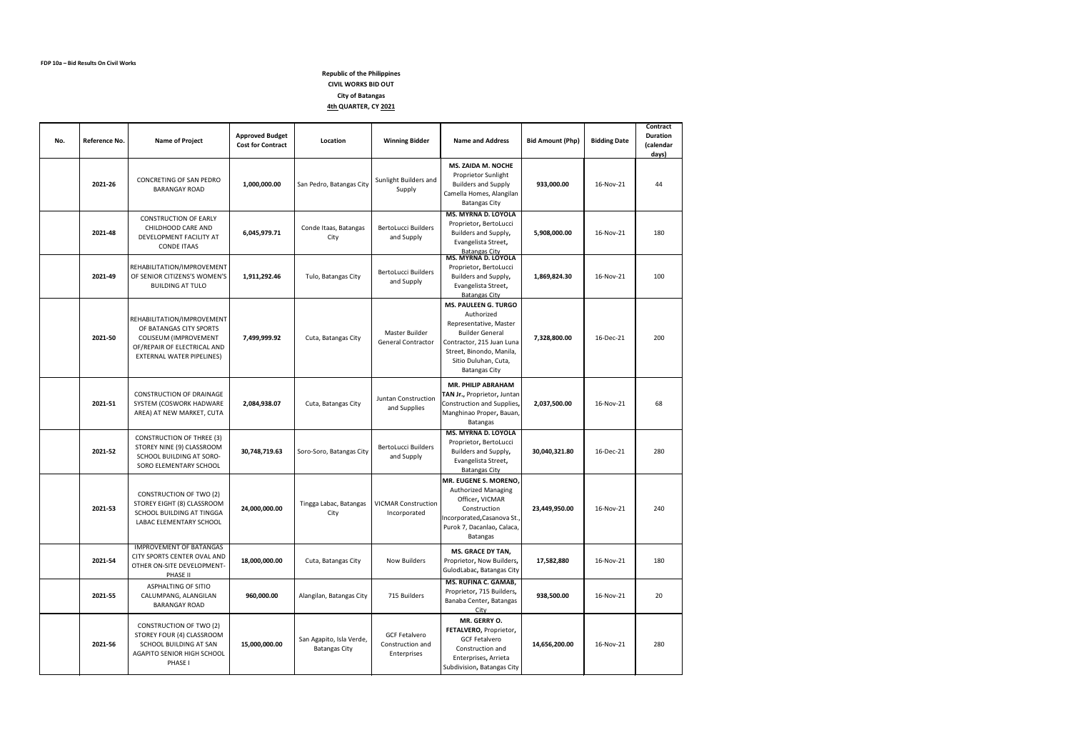| No. | Reference No. | <b>Name of Project</b>                                                                                                                            | <b>Approved Budget</b><br><b>Cost for Contract</b> | Location                                         | <b>Winning Bidder</b>                                   | <b>Name and Address</b>                                                                                                                                                                                | <b>Bid Amount (Php)</b> | <b>Bidding Date</b> | Contract<br><b>Duration</b><br>(calendar<br>days) |
|-----|---------------|---------------------------------------------------------------------------------------------------------------------------------------------------|----------------------------------------------------|--------------------------------------------------|---------------------------------------------------------|--------------------------------------------------------------------------------------------------------------------------------------------------------------------------------------------------------|-------------------------|---------------------|---------------------------------------------------|
|     | 2021-26       | CONCRETING OF SAN PEDRO<br><b>BARANGAY ROAD</b>                                                                                                   | 1,000,000.00                                       | San Pedro, Batangas City                         | Sunlight Builders and<br>Supply                         | <b>MS. ZAIDA M. NOCHE</b><br>Proprietor Sunlight<br><b>Builders and Supply</b><br>Camella Homes, Alangilan<br><b>Batangas City</b>                                                                     | 933,000.00              | 16-Nov-21           | 44                                                |
|     | 2021-48       | <b>CONSTRUCTION OF EARLY</b><br>CHILDHOOD CARE AND<br>DEVELOPMENT FACILITY AT<br><b>CONDE ITAAS</b>                                               | 6,045,979.71                                       | Conde Itaas, Batangas<br>City                    | BertoLucci Builders<br>and Supply                       | <b>MS. MYRNA D. LOYOLA</b><br>Proprietor, BertoLucci<br>Builders and Supply,<br>Evangelista Street,<br><b>Batangas City</b>                                                                            | 5,908,000.00            | 16-Nov-21           | 180                                               |
|     | 2021-49       | REHABILITATION/IMPROVEMENT<br>OF SENIOR CITIZENS'S WOMEN'S<br><b>BUILDING AT TULO</b>                                                             | 1,911,292.46                                       | Tulo, Batangas City                              | <b>BertoLucci Builders</b><br>and Supply                | <b>MS. MYRNA D. LOYOLA</b><br>Proprietor, BertoLucci<br>Builders and Supply,<br>Evangelista Street,<br><b>Batangas City</b>                                                                            | 1,869,824.30            | 16-Nov-21           | 100                                               |
|     | 2021-50       | REHABILITATION/IMPROVEMENT<br>OF BATANGAS CITY SPORTS<br><b>COLISEUM (IMPROVEMENT</b><br>OF/REPAIR OF ELECTRICAL AND<br>EXTERNAL WATER PIPELINES) | 7,499,999.92                                       | Cuta, Batangas City                              | Master Builder<br>General Contractor                    | <b>MS. PAULEEN G. TURGO</b><br>Authorized<br>Representative, Master<br><b>Builder General</b><br>Contractor, 215 Juan Luna<br>Street, Binondo, Manila,<br>Sitio Duluhan, Cuta,<br><b>Batangas City</b> | 7,328,800.00            | 16-Dec-21           | 200                                               |
|     | 2021-51       | <b>CONSTRUCTION OF DRAINAGE</b><br>SYSTEM (COSWORK HADWARE<br>AREA) AT NEW MARKET, CUTA                                                           | 2,084,938.07                                       | Cuta, Batangas City                              | Juntan Construction<br>and Supplies                     | <b>MR. PHILIP ABRAHAM</b><br>TAN Jr., Proprietor, Juntan<br>Construction and Supplies,<br>Manghinao Proper, Bauan,<br>Batangas                                                                         | 2,037,500.00            | 16-Nov-21           | 68                                                |
|     | 2021-52       | <b>CONSTRUCTION OF THREE (3)</b><br>STOREY NINE (9) CLASSROOM<br>SCHOOL BUILDING AT SORO-<br>SORO ELEMENTARY SCHOOL                               | 30,748,719.63                                      | Soro-Soro, Batangas City                         | <b>BertoLucci Builders</b><br>and Supply                | <b>MS. MYRNA D. LOYOLA</b><br>Proprietor, BertoLucci<br>Builders and Supply,<br>Evangelista Street,<br><b>Batangas City</b>                                                                            | 30,040,321.80           | 16-Dec-21           | 280                                               |
|     | 2021-53       | <b>CONSTRUCTION OF TWO (2)</b><br>STOREY EIGHT (8) CLASSROOM<br>SCHOOL BUILDING AT TINGGA<br>LABAC ELEMENTARY SCHOOL                              | 24,000,000.00                                      | Tingga Labac, Batangas<br>City                   | <b>VICMAR Construction</b><br>Incorporated              | MR. EUGENE S. MORENO,<br>Authorized Managing<br>Officer, VICMAR<br>Construction<br>Incorporated, Casanova St.,<br>Purok 7, Dacanlao, Calaca,<br><b>Batangas</b>                                        | 23,449,950.00           | 16-Nov-21           | 240                                               |
|     | 2021-54       | <b>IMPROVEMENT OF BATANGAS</b><br>CITY SPORTS CENTER OVAL AND<br>OTHER ON-SITE DEVELOPMENT-<br>PHASE II                                           | 18,000,000.00                                      | Cuta, Batangas City                              | <b>Now Builders</b>                                     | <b>MS. GRACE DY TAN.</b><br>Proprietor, Now Builders,<br>GulodLabac, Batangas City                                                                                                                     | 17,582,880              | 16-Nov-21           | 180                                               |
|     | 2021-55       | <b>ASPHALTING OF SITIO</b><br>CALUMPANG, ALANGILAN<br><b>BARANGAY ROAD</b>                                                                        | 960,000.00                                         | Alangilan, Batangas City                         | 715 Builders                                            | MS. RUFINA C. GAMAB,<br>Proprietor, 715 Builders,<br>Banaba Center, Batangas<br>City                                                                                                                   | 938,500.00              | 16-Nov-21           | 20                                                |
|     | 2021-56       | <b>CONSTRUCTION OF TWO (2)</b><br>STOREY FOUR (4) CLASSROOM<br>SCHOOL BUILDING AT SAN<br>AGAPITO SENIOR HIGH SCHOOL<br>PHASE I                    | 15,000,000.00                                      | San Agapito, Isla Verde,<br><b>Batangas City</b> | <b>GCF Fetalvero</b><br>Construction and<br>Enterprises | MR. GERRY O.<br>FETALVERO, Proprietor,<br><b>GCF Fetalvero</b><br>Construction and<br>Enterprises, Arrieta<br>Subdivision, Batangas City                                                               | 14,656,200.00           | 16-Nov-21           | 280                                               |

## **Republic of the Philippines CIVIL WORKS BID OUT City of Batangas 4th QUARTER, CY 2021**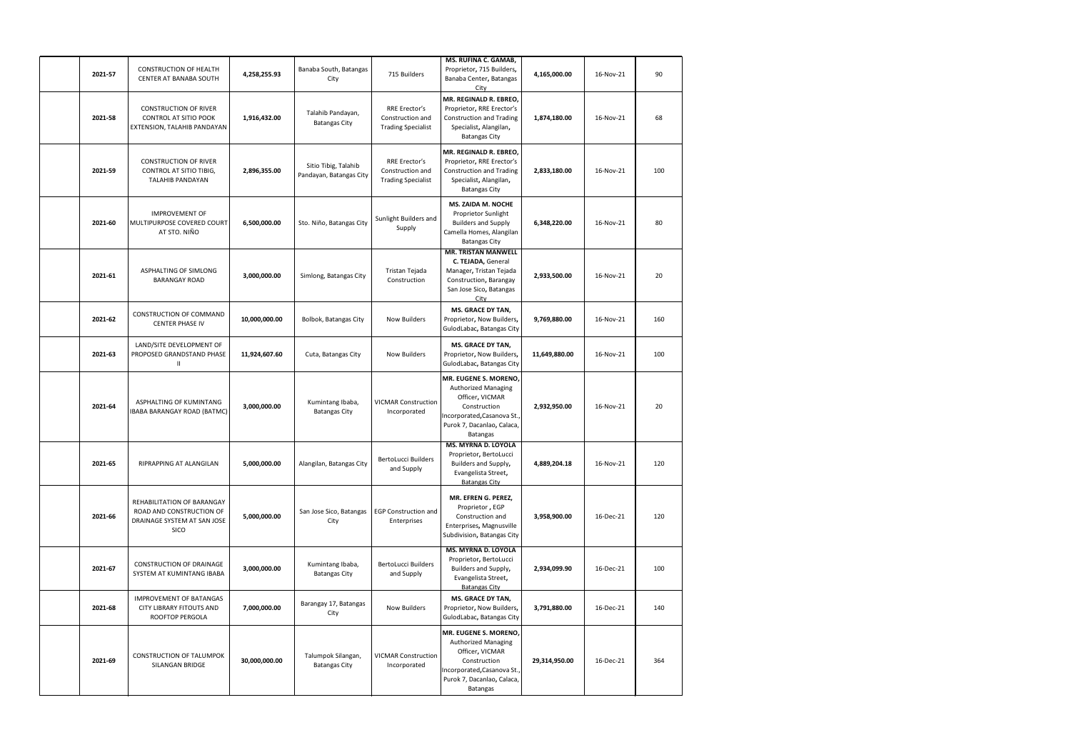| 2021-57 | <b>CONSTRUCTION OF HEALTH</b><br>CENTER AT BANABA SOUTH                                       | 4,258,255.93  | Banaba South, Batangas<br>City                  | 715 Builders                                                   | MS. RUFINA C. GAMAB,<br>Proprietor, 715 Builders,<br>Banaba Center, Batangas<br>City                                                                     | 4,165,000.00  | 16-Nov-21 | 90  |
|---------|-----------------------------------------------------------------------------------------------|---------------|-------------------------------------------------|----------------------------------------------------------------|----------------------------------------------------------------------------------------------------------------------------------------------------------|---------------|-----------|-----|
| 2021-58 | <b>CONSTRUCTION OF RIVER</b><br>CONTROL AT SITIO POOK<br>EXTENSION, TALAHIB PANDAYAN          | 1,916,432.00  | Talahib Pandayan,<br><b>Batangas City</b>       | RRE Erector's<br>Construction and<br><b>Trading Specialist</b> | MR. REGINALD R. EBREO,<br>Proprietor, RRE Erector's<br><b>Construction and Trading</b><br>Specialist, Alangilan,<br><b>Batangas City</b>                 | 1,874,180.00  | 16-Nov-21 | 68  |
| 2021-59 | <b>CONSTRUCTION OF RIVER</b><br>CONTROL AT SITIO TIBIG,<br><b>TALAHIB PANDAYAN</b>            | 2,896,355.00  | Sitio Tibig, Talahib<br>Pandayan, Batangas City | RRE Erector's<br>Construction and<br><b>Trading Specialist</b> | MR. REGINALD R. EBREO,<br>Proprietor, RRE Erector's<br><b>Construction and Trading</b><br>Specialist, Alangilan,<br><b>Batangas City</b>                 | 2,833,180.00  | 16-Nov-21 | 100 |
| 2021-60 | <b>IMPROVEMENT OF</b><br>MULTIPURPOSE COVERED COURT<br>AT STO. NIÑO                           | 6,500,000.00  | Sto. Niño, Batangas City                        | Sunlight Builders and<br>Supply                                | <b>MS. ZAIDA M. NOCHE</b><br>Proprietor Sunlight<br><b>Builders and Supply</b><br>Camella Homes, Alangilan<br><b>Batangas City</b>                       | 6,348,220.00  | 16-Nov-21 | 80  |
| 2021-61 | ASPHALTING OF SIMLONG<br><b>BARANGAY ROAD</b>                                                 | 3,000,000.00  | Simlong, Batangas City                          | Tristan Tejada<br>Construction                                 | <b>MR. TRISTAN MANWELL</b><br>C. TEJADA, General<br>Manager, Tristan Tejada<br>Construction, Barangay<br>San Jose Sico, Batangas<br>City                 | 2,933,500.00  | 16-Nov-21 | 20  |
| 2021-62 | <b>CONSTRUCTION OF COMMAND</b><br><b>CENTER PHASE IV</b>                                      | 10,000,000.00 | Bolbok, Batangas City                           | <b>Now Builders</b>                                            | <b>MS. GRACE DY TAN,</b><br>Proprietor, Now Builders,<br>GulodLabac, Batangas City                                                                       | 9,769,880.00  | 16-Nov-21 | 160 |
| 2021-63 | LAND/SITE DEVELOPMENT OF<br>PROPOSED GRANDSTAND PHASE                                         | 11,924,607.60 | Cuta, Batangas City                             | <b>Now Builders</b>                                            | <b>MS. GRACE DY TAN,</b><br>Proprietor, Now Builders,<br>GulodLabac, Batangas City                                                                       | 11,649,880.00 | 16-Nov-21 | 100 |
| 2021-64 | ASPHALTING OF KUMINTANG<br><b>IBABA BARANGAY ROAD (BATMC)</b>                                 | 3,000,000.00  | Kumintang Ibaba,<br><b>Batangas City</b>        | <b>VICMAR Construction</b><br>Incorporated                     | MR. EUGENE S. MORENO,<br>Authorized Managing<br>Officer, VICMAR<br>Construction<br>Incorporated, Casanova St.,<br>Purok 7, Dacanlao, Calaca,<br>Batangas | 2,932,950.00  | 16-Nov-21 | 20  |
| 2021-65 | <b>RIPRAPPING AT ALANGILAN</b>                                                                | 5,000,000.00  | Alangilan, Batangas City                        | BertoLucci Builders<br>and Supply                              | <b>MS. MYRNA D. LOYOLA</b><br>Proprietor, BertoLucci<br>Builders and Supply,<br>Evangelista Street,<br><b>Batangas City</b>                              | 4,889,204.18  | 16-Nov-21 | 120 |
| 2021-66 | REHABILITATION OF BARANGAY<br>ROAD AND CONSTRUCTION OF<br>DRAINAGE SYSTEM AT SAN JOSE<br>SICO | 5,000,000.00  | San Jose Sico, Batangas<br>City                 | <b>EGP Construction and</b><br>Enterprises                     | MR. EFREN G. PEREZ,<br>Proprietor, EGP<br>Construction and<br>Enterprises, Magnusville<br>Subdivision, Batangas City                                     | 3,958,900.00  | 16-Dec-21 | 120 |
| 2021-67 | CONSTRUCTION OF DRAINAGE<br>SYSTEM AT KUMINTANG IBABA                                         | 3,000,000.00  | Kumintang Ibaba,<br><b>Batangas City</b>        | BertoLucci Builders<br>and Supply                              | <b>MS. MYRNA D. LOYOLA</b><br>Proprietor, BertoLucci<br>Builders and Supply,<br>Evangelista Street,<br><b>Batangas City</b>                              | 2,934,099.90  | 16-Dec-21 | 100 |
| 2021-68 | IMPROVEMENT OF BATANGAS<br>CITY LIBRARY FITOUTS AND<br>ROOFTOP PERGOLA                        | 7,000,000.00  | Barangay 17, Batangas<br>City                   | <b>Now Builders</b>                                            | <b>MS. GRACE DY TAN,</b><br>Proprietor, Now Builders,<br>GulodLabac, Batangas City                                                                       | 3,791,880.00  | 16-Dec-21 | 140 |
| 2021-69 | <b>CONSTRUCTION OF TALUMPOK</b><br>SILANGAN BRIDGE                                            | 30,000,000.00 | Talumpok Silangan,<br><b>Batangas City</b>      | <b>VICMAR Construction</b><br>Incorporated                     | MR. EUGENE S. MORENO,<br>Authorized Managing<br>Officer, VICMAR<br>Construction<br>Incorporated, Casanova St.,<br>Purok 7, Dacanlao, Calaca,<br>Batangas | 29,314,950.00 | 16-Dec-21 | 364 |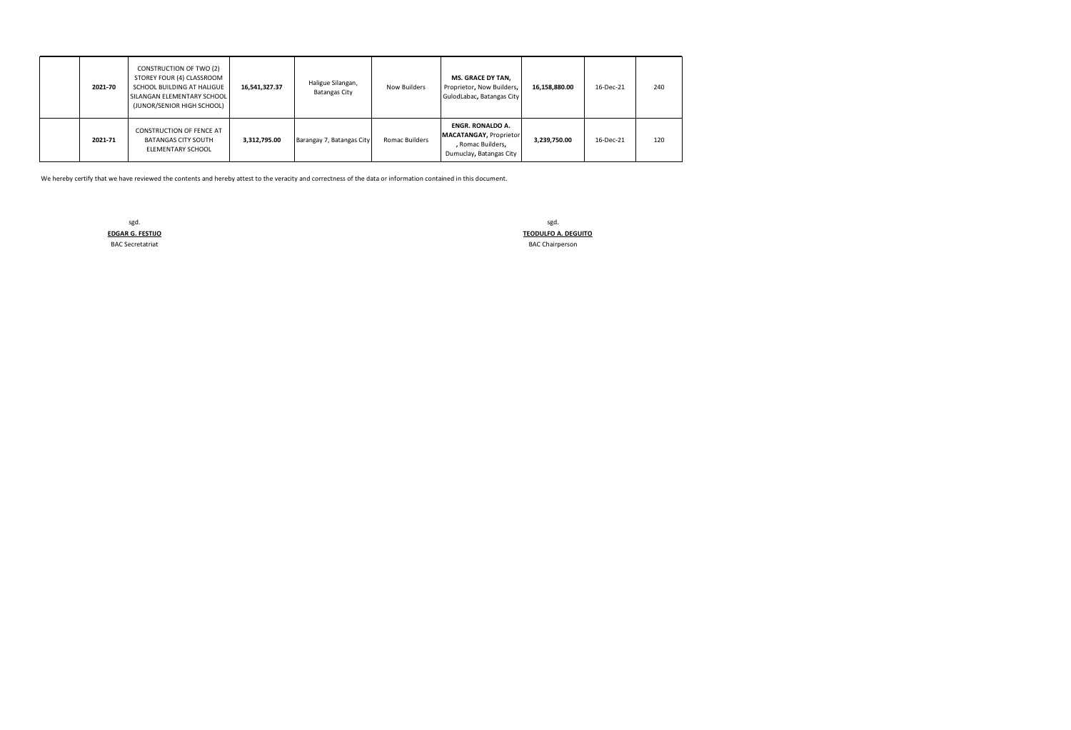| 2021-70 | CONSTRUCTION OF TWO (2)<br>STOREY FOUR (4) CLASSROOM<br>SCHOOL BUILDING AT HALIGUE<br>SILANGAN ELEMENTARY SCHOOL<br>(JUNOR/SENIOR HIGH SCHOOL) | 16,541,327.37 | Haligue Silangan,<br><b>Batangas City</b> | Now Builders   | <b>MS. GRACE DY TAN,</b><br>Proprietor, Now Builders,<br>GulodLabac, Batangas City                | 16,158,880.00 | 16-Dec-21 | 240 |
|---------|------------------------------------------------------------------------------------------------------------------------------------------------|---------------|-------------------------------------------|----------------|---------------------------------------------------------------------------------------------------|---------------|-----------|-----|
| 2021-71 | <b>CONSTRUCTION OF FENCE AT</b><br><b>BATANGAS CITY SOUTH</b><br>ELEMENTARY SCHOOL                                                             | 3,312,795.00  | Barangay 7, Batangas City                 | Romac Builders | <b>ENGR. RONALDO A.</b><br>MACATANGAY, Proprietor<br>, Romac Builders,<br>Dumuclay, Batangas City | 3,239,750.00  | 16-Dec-21 | 120 |

sgd. **TEODULFO A. DEGUITO** BAC Secretatriat **BAC Chairperson** 

We hereby certify that we have reviewed the contents and hereby attest to the veracity and correctness of the data or information contained in this document.

sgd. **EDGAR G. FESTIJO**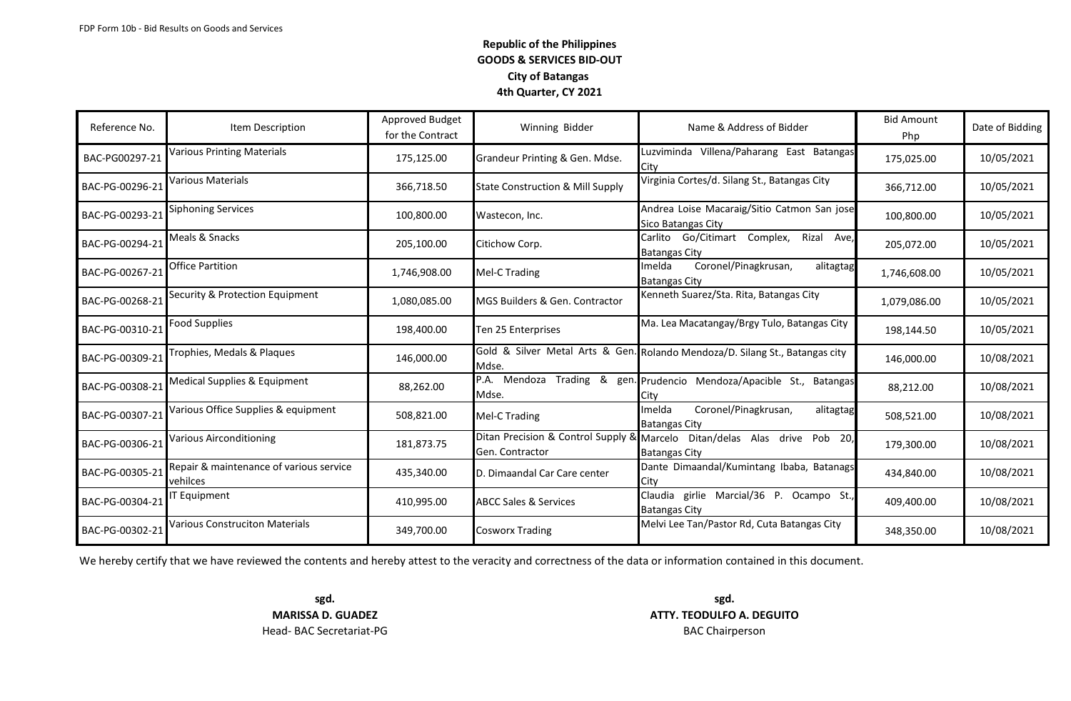| Reference No.   | Item Description                                    | Approved Budget<br>for the Contract | Winning Bidder                              | Name & Address of Bidder                                                                          | <b>Bid Amount</b><br>Php | Date of Bidding |
|-----------------|-----------------------------------------------------|-------------------------------------|---------------------------------------------|---------------------------------------------------------------------------------------------------|--------------------------|-----------------|
| BAC-PG00297-21  | Various Printing Materials                          | 175,125.00                          | Grandeur Printing & Gen. Mdse.              | Luzviminda Villena/Paharang East Batangas<br>City                                                 | 175,025.00               | 10/05/2021      |
| BAC-PG-00296-21 | Various Materials                                   | 366,718.50                          | <b>State Construction &amp; Mill Supply</b> | Virginia Cortes/d. Silang St., Batangas City                                                      | 366,712.00               | 10/05/2021      |
| BAC-PG-00293-21 | Siphoning Services                                  | 100,800.00                          | Wastecon, Inc.                              | Andrea Loise Macaraig/Sitio Catmon San jose<br>Sico Batangas City                                 | 100,800.00               | 10/05/2021      |
| BAC-PG-00294-21 | Meals & Snacks                                      | 205,100.00                          | Citichow Corp.                              | Carlito Go/Citimart Complex,<br>Rizal Ave,<br><b>Batangas City</b>                                | 205,072.00               | 10/05/2021      |
| BAC-PG-00267-21 | Office Partition                                    | 1,746,908.00                        | Mel-C Trading                               | Coronel/Pinagkrusan,<br>Imelda<br>alitagtag<br><b>Batangas City</b>                               | 1,746,608.00             | 10/05/2021      |
| BAC-PG-00268-21 | Security & Protection Equipment                     | 1,080,085.00                        | <b>MGS Builders &amp; Gen. Contractor</b>   | Kenneth Suarez/Sta. Rita, Batangas City                                                           | 1,079,086.00             | 10/05/2021      |
| BAC-PG-00310-21 | <b>Food Supplies</b>                                | 198,400.00                          | Ten 25 Enterprises                          | Ma. Lea Macatangay/Brgy Tulo, Batangas City                                                       | 198,144.50               | 10/05/2021      |
| BAC-PG-00309-21 | Trophies, Medals & Plaques                          | 146,000.00                          | Mdse.                                       | Gold & Silver Metal Arts & Gen. Rolando Mendoza/D. Silang St., Batangas city                      | 146,000.00               | 10/08/2021      |
| BAC-PG-00308-21 | Medical Supplies & Equipment                        | 88,262.00                           | Mdse.                                       | P.A. Mendoza Trading & gen. Prudencio Mendoza/Apacible St., Batangas                              | 88,212.00                | 10/08/2021      |
| BAC-PG-00307-21 | Various Office Supplies & equipment                 | 508,821.00                          | Mel-C Trading                               | Coronel/Pinagkrusan,<br>Imelda<br>alitagtag<br><b>Batangas City</b>                               | 508,521.00               | 10/08/2021      |
| BAC-PG-00306-21 | Various Airconditioning                             | 181,873.75                          | Gen. Contractor                             | Ditan Precision & Control Supply & Marcelo Ditan/delas Alas drive Pob 20,<br><b>Batangas City</b> | 179,300.00               | 10/08/2021      |
| BAC-PG-00305-21 | Repair & maintenance of various service<br>vehilces | 435,340.00                          | D. Dimaandal Car Care center                | Dante Dimaandal/Kumintang Ibaba, Batanags<br>City                                                 | 434,840.00               | 10/08/2021      |
| BAC-PG-00304-21 | T Equipment                                         | 410,995.00                          | <b>ABCC Sales &amp; Services</b>            | Claudia girlie Marcial/36 P. Ocampo St.,<br><b>Batangas City</b>                                  | 409,400.00               | 10/08/2021      |
| BAC-PG-00302-21 | <b>Various Construciton Materials</b>               | 349,700.00                          | Cosworx Trading                             | Melvi Lee Tan/Pastor Rd, Cuta Batangas City                                                       | 348,350.00               | 10/08/2021      |

We hereby certify that we have reviewed the contents and hereby attest to the veracity and correctness of the data or information contained in this document.

Head- BAC Secretariat-PG **BAC Chairperson** 

**sgd. sgd. MARISSA D. GUADEZ ATTY. TEODULFO A. DEGUITO**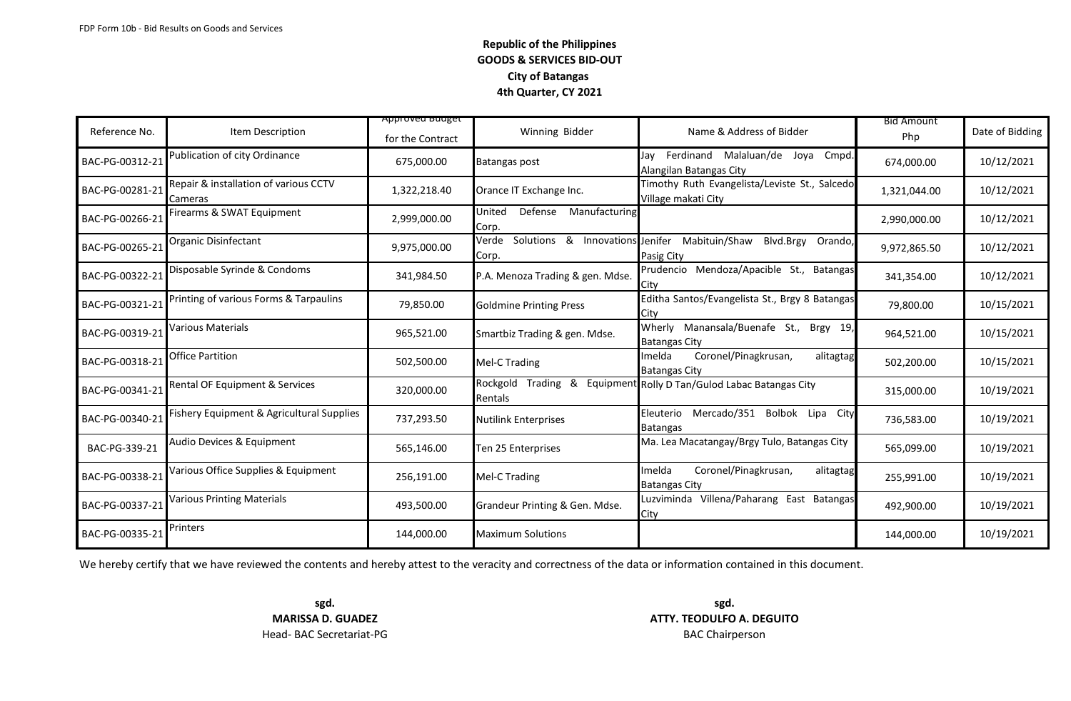| Reference No.   | Item Description                                 | <del>Approveu buuget</del><br>for the Contract | Winning Bidder                                    | Name & Address of Bidder                                             | <b>Bid Amount</b><br>Php | Date of Bidding |
|-----------------|--------------------------------------------------|------------------------------------------------|---------------------------------------------------|----------------------------------------------------------------------|--------------------------|-----------------|
| BAC-PG-00312-21 | Publication of city Ordinance                    | 675,000.00                                     | Batangas post                                     | Jay Ferdinand Malaluan/de Joya<br>Cmpd.<br>Alangilan Batangas City   | 674,000.00               | 10/12/2021      |
| BAC-PG-00281-21 | Repair & installation of various CCTV<br>Cameras | 1,322,218.40                                   | Orance IT Exchange Inc.                           | Timothy Ruth Evangelista/Leviste St., Salcedo<br>Village makati City | 1,321,044.00             | 10/12/2021      |
| BAC-PG-00266-21 | Firearms & SWAT Equipment                        | 2,999,000.00                                   | Defense<br>Manufacturing<br>United<br>Corp.       |                                                                      | 2,990,000.00             | 10/12/2021      |
| BAC-PG-00265-21 | Organic Disinfectant                             | 9,975,000.00                                   | Solutions & Innovations Jenifer<br>Verde<br>Corp. | Mabituin/Shaw<br>Blvd.Brgy<br>Orando,<br>Pasig City                  | 9,972,865.50             | 10/12/2021      |
| BAC-PG-00322-21 | Disposable Syrinde & Condoms                     | 341,984.50                                     | P.A. Menoza Trading & gen. Mdse.                  | Prudencio Mendoza/Apacible St., Batangas<br>City                     | 341,354.00               | 10/12/2021      |
| BAC-PG-00321-21 | Printing of various Forms & Tarpaulins           | 79,850.00                                      | <b>Goldmine Printing Press</b>                    | Editha Santos/Evangelista St., Brgy 8 Batangas<br>City               | 79,800.00                | 10/15/2021      |
| BAC-PG-00319-21 | Various Materials                                | 965,521.00                                     | Smartbiz Trading & gen. Mdse.                     | Manansala/Buenafe St., Brgy 19,<br>Wherly<br><b>Batangas City</b>    | 964,521.00               | 10/15/2021      |
| BAC-PG-00318-21 | Office Partition                                 | 502,500.00                                     | Mel-C Trading                                     | Coronel/Pinagkrusan,<br>Imelda<br>alitagtag<br><b>Batangas City</b>  | 502,200.00               | 10/15/2021      |
| BAC-PG-00341-21 | Rental OF Equipment & Services                   | 320,000.00                                     | Rockgold<br>Trading<br>&<br>Rentals               | Equipment Rolly D Tan/Gulod Labac Batangas City                      | 315,000.00               | 10/19/2021      |
| BAC-PG-00340-21 | Fishery Equipment & Agricultural Supplies        | 737,293.50                                     | <b>Nutilink Enterprises</b>                       | Eleuterio Mercado/351 Bolbok Lipa City<br><b>Batangas</b>            | 736,583.00               | 10/19/2021      |
| BAC-PG-339-21   | Audio Devices & Equipment                        | 565,146.00                                     | Ten 25 Enterprises                                | Ma. Lea Macatangay/Brgy Tulo, Batangas City                          | 565,099.00               | 10/19/2021      |
| BAC-PG-00338-21 | Various Office Supplies & Equipment              | 256,191.00                                     | Mel-C Trading                                     | Coronel/Pinagkrusan,<br>Imelda<br>alitagtag<br><b>Batangas City</b>  | 255,991.00               | 10/19/2021      |
| BAC-PG-00337-21 | <b>Various Printing Materials</b>                | 493,500.00                                     | Grandeur Printing & Gen. Mdse.                    | Luzviminda Villena/Paharang East Batangas<br>City                    | 492,900.00               | 10/19/2021      |
| BAC-PG-00335-21 | Printers                                         | 144,000.00                                     | <b>Maximum Solutions</b>                          |                                                                      | 144,000.00               | 10/19/2021      |

We hereby certify that we have reviewed the contents and hereby attest to the veracity and correctness of the data or information contained in this document.

Head- BAC Secretariat-PG **BAC Chairperson** 

**sgd. sgd. MARISSA D. GUADEZ <b>ATTY. TEODULFO A. DEGUITO**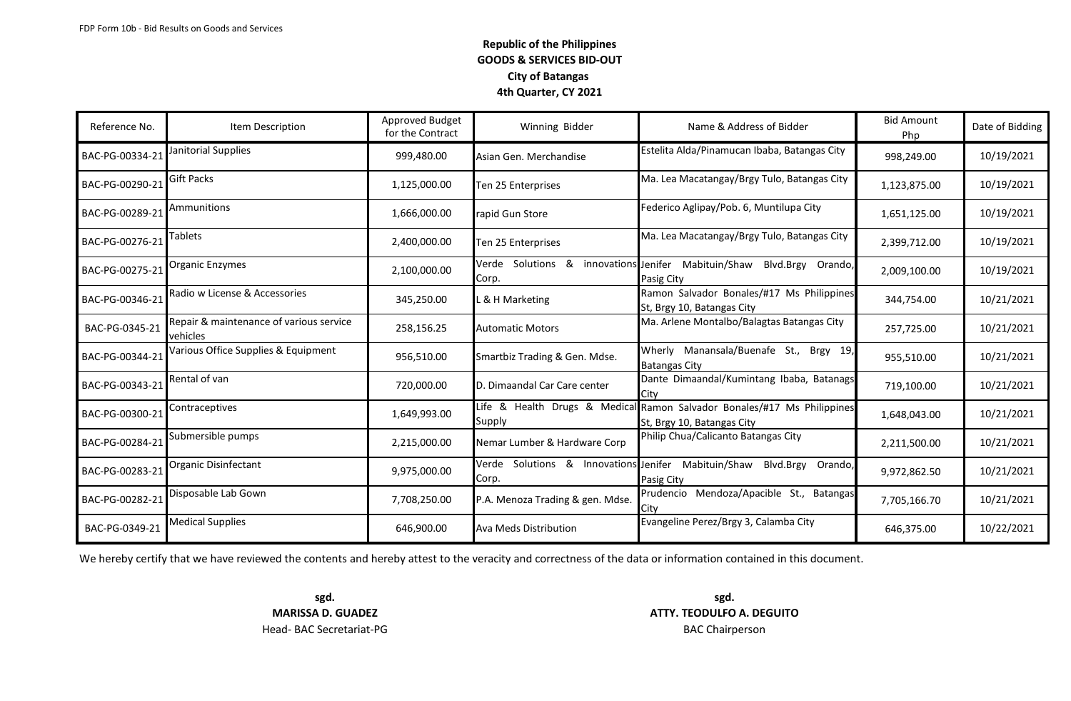| Reference No.   | Item Description                                    | Approved Budget<br>for the Contract | Winning Bidder                            | Name & Address of Bidder                                                                              | <b>Bid Amount</b><br>Php | Date of Bidding |
|-----------------|-----------------------------------------------------|-------------------------------------|-------------------------------------------|-------------------------------------------------------------------------------------------------------|--------------------------|-----------------|
| BAC-PG-00334-21 | Janitorial Supplies                                 | 999,480.00                          | Asian Gen. Merchandise                    | Estelita Alda/Pinamucan Ibaba, Batangas City                                                          | 998,249.00               | 10/19/2021      |
| BAC-PG-00290-21 | Gift Packs                                          | 1,125,000.00                        | Ten 25 Enterprises                        | Ma. Lea Macatangay/Brgy Tulo, Batangas City                                                           | 1,123,875.00             | 10/19/2021      |
| BAC-PG-00289-21 | Ammunitions                                         | 1,666,000.00                        | apid Gun Store                            | Federico Aglipay/Pob. 6, Muntilupa City                                                               | 1,651,125.00             | 10/19/2021      |
| BAC-PG-00276-21 | Tablets                                             | 2,400,000.00                        | Ten 25 Enterprises                        | Ma. Lea Macatangay/Brgy Tulo, Batangas City                                                           | 2,399,712.00             | 10/19/2021      |
| BAC-PG-00275-21 | Organic Enzymes                                     | 2,100,000.00                        | Verde Solutions &<br>innovations<br>Corp. | Jenifer<br>Mabituin/Shaw<br>Blvd.Brgy<br>Orando,<br>Pasig City                                        | 2,009,100.00             | 10/19/2021      |
| BAC-PG-00346-21 | Radio w License & Accessories                       | 345,250.00                          | & H Marketing                             | Ramon Salvador Bonales/#17 Ms Philippines<br>St, Brgy 10, Batangas City                               | 344,754.00               | 10/21/2021      |
| BAC-PG-0345-21  | Repair & maintenance of various service<br>vehicles | 258,156.25                          | <b>Automatic Motors</b>                   | Ma. Arlene Montalbo/Balagtas Batangas City                                                            | 257,725.00               | 10/21/2021      |
| BAC-PG-00344-21 | Various Office Supplies & Equipment                 | 956,510.00                          | Smartbiz Trading & Gen. Mdse.             | Wherly Manansala/Buenafe St., Brgy 19,<br><b>Batangas City</b>                                        | 955,510.00               | 10/21/2021      |
| BAC-PG-00343-21 | Rental of van                                       | 720,000.00                          | D. Dimaandal Car Care center              | Dante Dimaandal/Kumintang Ibaba, Batanags<br>City                                                     | 719,100.00               | 10/21/2021      |
| BAC-PG-00300-21 | Contraceptives                                      | 1,649,993.00                        | Supply                                    | Life & Health Drugs & Medical Ramon Salvador Bonales/#17 Ms Philippines<br>St, Brgy 10, Batangas City | 1,648,043.00             | 10/21/2021      |
| BAC-PG-00284-21 | Submersible pumps                                   | 2,215,000.00                        | Nemar Lumber & Hardware Corp              | Philip Chua/Calicanto Batangas City                                                                   | 2,211,500.00             | 10/21/2021      |
| BAC-PG-00283-21 | <b>Organic Disinfectant</b>                         | 9,975,000.00                        | Verde Solutions & Innovations<br>Corp.    | Jenifer<br>Mabituin/Shaw<br>Blvd.Brgy<br>Orando,<br>Pasig City                                        | 9,972,862.50             | 10/21/2021      |
| BAC-PG-00282-21 | Disposable Lab Gown                                 | 7,708,250.00                        | P.A. Menoza Trading & gen. Mdse.          | Prudencio Mendoza/Apacible St., Batangas<br>Citv                                                      | 7,705,166.70             | 10/21/2021      |
| BAC-PG-0349-21  | <b>Medical Supplies</b>                             | 646,900.00                          | Ava Meds Distribution                     | Evangeline Perez/Brgy 3, Calamba City                                                                 | 646,375.00               | 10/22/2021      |

We hereby certify that we have reviewed the contents and hereby attest to the veracity and correctness of the data or information contained in this document.

Head- BAC Secretariat-PG **BAC Chairperson** 

**sgd. sgd. MARISSA D. GUADEZ ATTY. TEODULFO A. DEGUITO**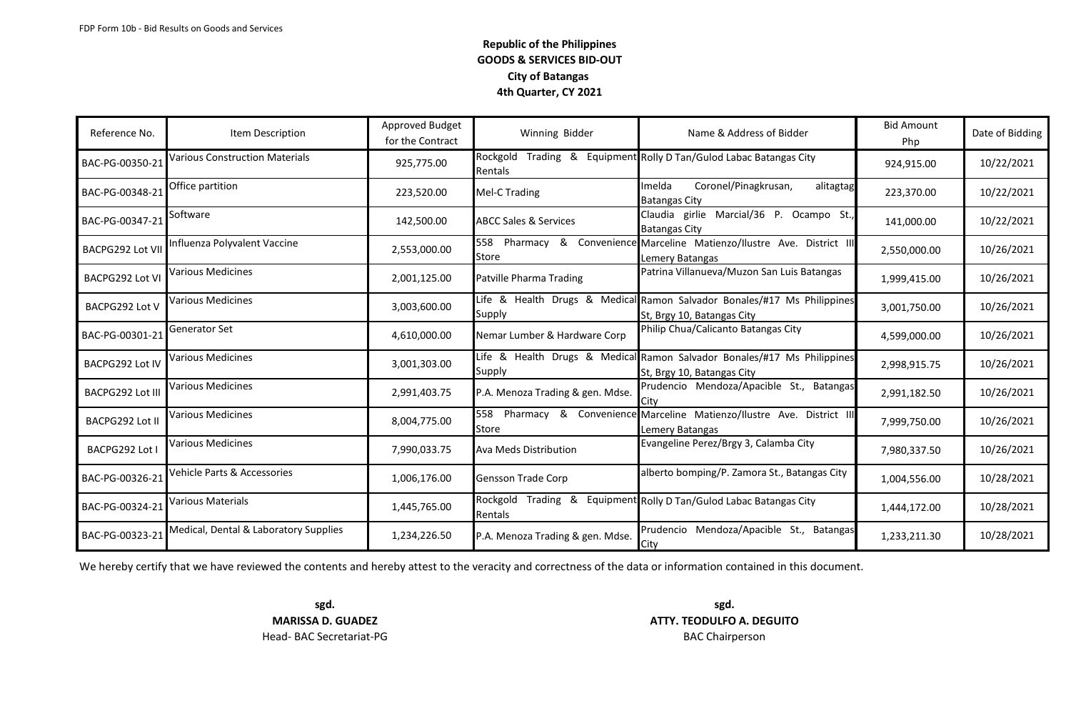| Reference No.          | Item Description                      | Approved Budget<br>for the Contract | Winning Bidder                   | Name & Address of Bidder                                                                              | <b>Bid Amount</b><br>Php | Date of Bidding |
|------------------------|---------------------------------------|-------------------------------------|----------------------------------|-------------------------------------------------------------------------------------------------------|--------------------------|-----------------|
| BAC-PG-00350-21        | <b>Various Construction Materials</b> | 925,775.00                          | Rockgold<br>Rentals              | Trading & Equipment Rolly D Tan/Gulod Labac Batangas City                                             | 924,915.00               | 10/22/2021      |
| BAC-PG-00348-21        | Office partition                      | 223,520.00                          | Mel-C Trading                    | Coronel/Pinagkrusan,<br>Imelda<br>alitagtag<br><b>Batangas City</b>                                   | 223,370.00               | 10/22/2021      |
| BAC-PG-00347-21        | Software                              | 142,500.00                          | <b>ABCC Sales &amp; Services</b> | Claudia girlie Marcial/36 P. Ocampo St.,<br><b>Batangas City</b>                                      | 141,000.00               | 10/22/2021      |
| BACPG292 Lot VII       | Influenza Polyvalent Vaccine          | 2,553,000.00                        | <b>Store</b>                     | 558 Pharmacy & Convenience Marceline Matienzo/Ilustre Ave. District III<br>Lemery Batangas            | 2,550,000.00             | 10/26/2021      |
| BACPG292 Lot VI        | Various Medicines                     | 2,001,125.00                        | Patville Pharma Trading          | Patrina Villanueva/Muzon San Luis Batangas                                                            | 1,999,415.00             | 10/26/2021      |
| BACPG292 Lot V         | Various Medicines                     | 3,003,600.00                        | Supply                           | Life & Health Drugs & Medical Ramon Salvador Bonales/#17 Ms Philippines<br>St, Brgy 10, Batangas City | 3,001,750.00             | 10/26/2021      |
| BAC-PG-00301-21        | Generator Set                         | 4,610,000.00                        | Nemar Lumber & Hardware Corp     | Philip Chua/Calicanto Batangas City                                                                   | 4,599,000.00             | 10/26/2021      |
| BACPG292 Lot IV        | Various Medicines                     | 3,001,303.00                        | Supply                           | Life & Health Drugs & Medical Ramon Salvador Bonales/#17 Ms Philippines<br>St, Brgy 10, Batangas City | 2,998,915.75             | 10/26/2021      |
| BACPG292 Lot III       | Various Medicines                     | 2,991,403.75                        | P.A. Menoza Trading & gen. Mdse. | Prudencio Mendoza/Apacible St., Batangas<br>City                                                      | 2,991,182.50             | 10/26/2021      |
| <b>BACPG292 Lot II</b> | <b>Various Medicines</b>              | 8,004,775.00                        | <b>Store</b>                     | 558 Pharmacy & Convenience Marceline Matienzo/Ilustre Ave. District III<br>Lemery Batangas            | 7,999,750.00             | 10/26/2021      |
| BACPG292 Lot I         | Various Medicines                     | 7,990,033.75                        | Ava Meds Distribution            | Evangeline Perez/Brgy 3, Calamba City                                                                 | 7,980,337.50             | 10/26/2021      |
| BAC-PG-00326-21        | Vehicle Parts & Accessories           | 1,006,176.00                        | <b>Gensson Trade Corp</b>        | alberto bomping/P. Zamora St., Batangas City                                                          | 1,004,556.00             | 10/28/2021      |
| BAC-PG-00324-21        | Various Materials                     | 1,445,765.00                        | Rockgold<br>Rentals              | Trading & Equipment Rolly D Tan/Gulod Labac Batangas City                                             | 1,444,172.00             | 10/28/2021      |
| BAC-PG-00323-21        | Medical, Dental & Laboratory Supplies | 1,234,226.50                        | P.A. Menoza Trading & gen. Mdse. | Prudencio Mendoza/Apacible St., Batangas<br>City                                                      | 1,233,211.30             | 10/28/2021      |

We hereby certify that we have reviewed the contents and hereby attest to the veracity and correctness of the data or information contained in this document.

**sgd. sgd.** Head- BAC Secretariat-PG **BAC Chairperson** 

**MARISSA D. GUADEZ ATTY. TEODULFO A. DEGUITO**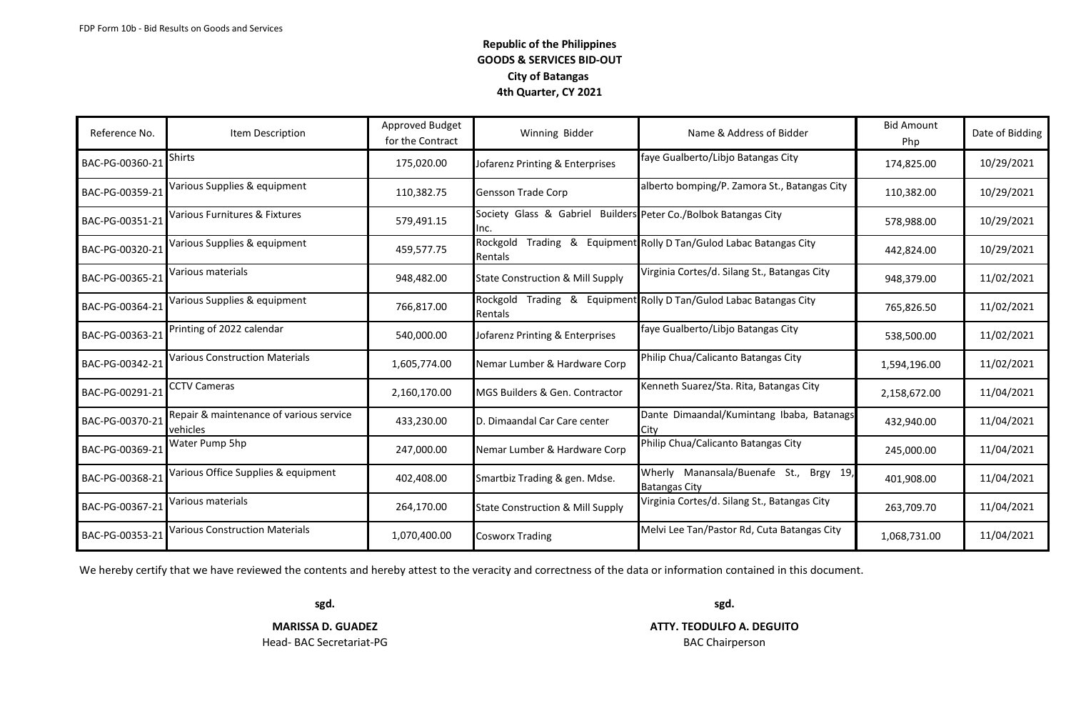| Reference No.   | Item Description                                    | Approved Budget<br>for the Contract | Winning Bidder                              | Name & Address of Bidder                                       | <b>Bid Amount</b><br>Php | Date of Bidding |
|-----------------|-----------------------------------------------------|-------------------------------------|---------------------------------------------|----------------------------------------------------------------|--------------------------|-----------------|
| BAC-PG-00360-21 | Shirts                                              | 175,020.00                          | Jofarenz Printing & Enterprises             | faye Gualberto/Libjo Batangas City                             | 174,825.00               | 10/29/2021      |
| BAC-PG-00359-21 | Various Supplies & equipment                        | 110,382.75                          | <b>Gensson Trade Corp</b>                   | alberto bomping/P. Zamora St., Batangas City                   | 110,382.00               | 10/29/2021      |
| BAC-PG-00351-21 | Various Furnitures & Fixtures                       | 579,491.15                          | Society Glass & Gabriel<br>Inc.             | Builders Peter Co./Bolbok Batangas City                        | 578,988.00               | 10/29/2021      |
| BAC-PG-00320-21 | Various Supplies & equipment                        | 459,577.75                          | Rockgold<br>Rentals                         | Trading & Equipment Rolly D Tan/Gulod Labac Batangas City      | 442,824.00               | 10/29/2021      |
| BAC-PG-00365-21 | Various materials                                   | 948,482.00                          | <b>State Construction &amp; Mill Supply</b> | Virginia Cortes/d. Silang St., Batangas City                   | 948,379.00               | 11/02/2021      |
| BAC-PG-00364-21 | Various Supplies & equipment                        | 766,817.00                          | Rockgold<br>Rentals                         | Trading & Equipment Rolly D Tan/Gulod Labac Batangas City      | 765,826.50               | 11/02/2021      |
| BAC-PG-00363-21 | Printing of 2022 calendar                           | 540,000.00                          | Jofarenz Printing & Enterprises             | faye Gualberto/Libjo Batangas City                             | 538,500.00               | 11/02/2021      |
| BAC-PG-00342-21 | <b>Various Construction Materials</b>               | 1,605,774.00                        | Nemar Lumber & Hardware Corp                | Philip Chua/Calicanto Batangas City                            | 1,594,196.00             | 11/02/2021      |
| BAC-PG-00291-21 | CCTV Cameras                                        | 2,160,170.00                        | MGS Builders & Gen. Contractor              | Kenneth Suarez/Sta. Rita, Batangas City                        | 2,158,672.00             | 11/04/2021      |
| BAC-PG-00370-21 | Repair & maintenance of various service<br>vehicles | 433,230.00                          | D. Dimaandal Car Care center                | Dante Dimaandal/Kumintang Ibaba, Batanags<br>City              | 432,940.00               | 11/04/2021      |
| BAC-PG-00369-21 | Water Pump 5hp                                      | 247,000.00                          | Nemar Lumber & Hardware Corp                | Philip Chua/Calicanto Batangas City                            | 245,000.00               | 11/04/2021      |
| BAC-PG-00368-21 | Various Office Supplies & equipment                 | 402,408.00                          | Smartbiz Trading & gen. Mdse.               | Wherly Manansala/Buenafe St., Brgy 19,<br><b>Batangas City</b> | 401,908.00               | 11/04/2021      |
| BAC-PG-00367-21 | Various materials                                   | 264,170.00                          | <b>State Construction &amp; Mill Supply</b> | Virginia Cortes/d. Silang St., Batangas City                   | 263,709.70               | 11/04/2021      |
| BAC-PG-00353-21 | Various Construction Materials                      | 1,070,400.00                        | <b>Cosworx Trading</b>                      | Melvi Lee Tan/Pastor Rd, Cuta Batangas City                    | 1,068,731.00             | 11/04/2021      |

We hereby certify that we have reviewed the contents and hereby attest to the veracity and correctness of the data or information contained in this document.

Head- BAC Secretariat-PG **BAC Chairperson** 

**sgd. sgd. MARISSA D. GUADEZ ATTY. TEODULFO A. DEGUITO**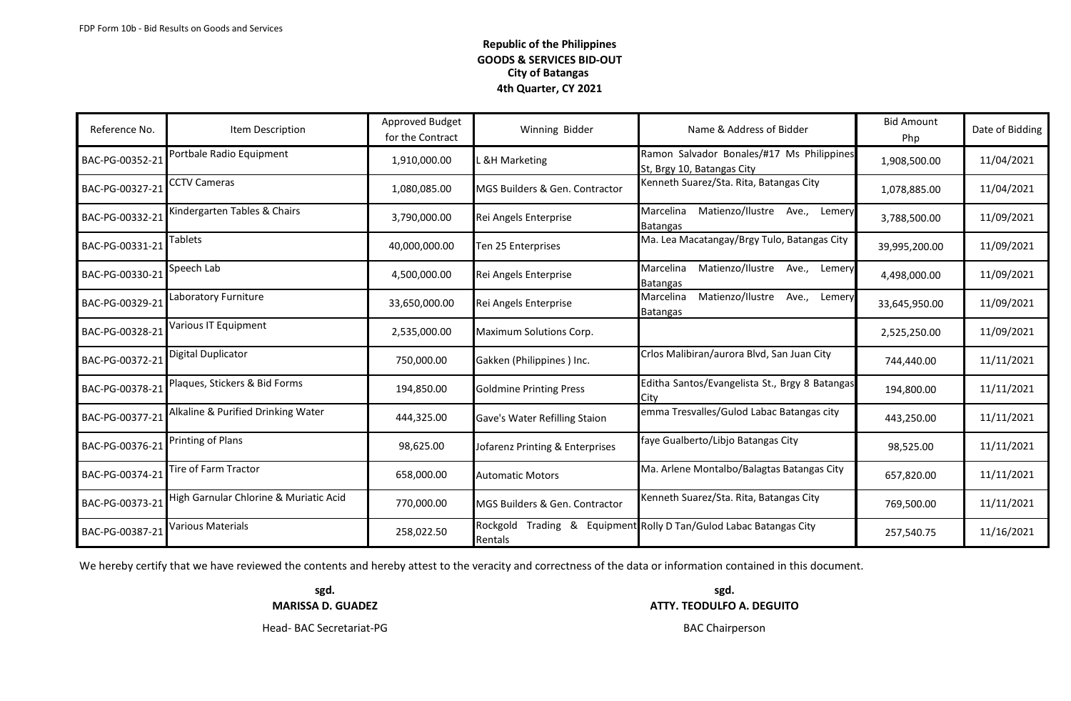| Reference No.   | Item Description                       | Approved Budget<br>for the Contract | Winning Bidder                             | Name & Address of Bidder                                                | <b>Bid Amount</b><br>Php | Date of Bidding |
|-----------------|----------------------------------------|-------------------------------------|--------------------------------------------|-------------------------------------------------------------------------|--------------------------|-----------------|
| BAC-PG-00352-21 | Portbale Radio Equipment               | 1,910,000.00                        | <b>&amp;H Marketing</b>                    | Ramon Salvador Bonales/#17 Ms Philippines<br>St. Brgy 10, Batangas City | 1,908,500.00             | 11/04/2021      |
| BAC-PG-00327-21 | CCTV Cameras                           | 1,080,085.00                        | MGS Builders & Gen. Contractor             | Kenneth Suarez/Sta. Rita, Batangas City                                 | 1,078,885.00             | 11/04/2021      |
| BAC-PG-00332-21 | Kindergarten Tables & Chairs           | 3,790,000.00                        | Rei Angels Enterprise                      | Matienzo/Ilustre<br>Marcelina<br>Ave.,<br>Lemery<br>Batangas            | 3,788,500.00             | 11/09/2021      |
| BAC-PG-00331-21 | <b>Tablets</b>                         | 40,000,000.00                       | Ten 25 Enterprises                         | Ma. Lea Macatangay/Brgy Tulo, Batangas City                             | 39,995,200.00            | 11/09/2021      |
| BAC-PG-00330-21 | Speech Lab                             | 4,500,000.00                        | Rei Angels Enterprise                      | Matienzo/Ilustre<br>Marcelina<br>Ave.,<br>Lemery<br>Batangas            | 4,498,000.00             | 11/09/2021      |
| BAC-PG-00329-21 | Laboratory Furniture                   | 33,650,000.00                       | Rei Angels Enterprise                      | Matienzo/Ilustre<br>Marcelina<br>Ave.,<br>Lemery<br>Batangas            | 33,645,950.00            | 11/09/2021      |
| BAC-PG-00328-21 | Various IT Equipment                   | 2,535,000.00                        | Maximum Solutions Corp.                    |                                                                         | 2,525,250.00             | 11/09/2021      |
| BAC-PG-00372-21 | Digital Duplicator                     | 750,000.00                          | Gakken (Philippines) Inc.                  | Crlos Malibiran/aurora Blvd, San Juan City                              | 744,440.00               | 11/11/2021      |
| BAC-PG-00378-21 | Plaques, Stickers & Bid Forms          | 194,850.00                          | <b>Goldmine Printing Press</b>             | Editha Santos/Evangelista St., Brgy 8 Batangas<br>Citv                  | 194,800.00               | 11/11/2021      |
| BAC-PG-00377-21 | Alkaline & Purified Drinking Water     | 444,325.00                          | Gave's Water Refilling Staion              | emma Tresvalles/Gulod Labac Batangas city                               | 443,250.00               | 11/11/2021      |
| BAC-PG-00376-21 | Printing of Plans                      | 98,625.00                           | Jofarenz Printing & Enterprises            | faye Gualberto/Libjo Batangas City                                      | 98,525.00                | 11/11/2021      |
| BAC-PG-00374-21 | Tire of Farm Tractor                   | 658,000.00                          | <b>Automatic Motors</b>                    | Ma. Arlene Montalbo/Balagtas Batangas City                              | 657,820.00               | 11/11/2021      |
| BAC-PG-00373-21 | High Garnular Chlorine & Muriatic Acid | 770,000.00                          | MGS Builders & Gen. Contractor             | Kenneth Suarez/Sta. Rita, Batangas City                                 | 769,500.00               | 11/11/2021      |
| BAC-PG-00387-21 | Various Materials                      | 258,022.50                          | Rockgold<br>Trading & Equipment<br>Rentals | Rolly D Tan/Gulod Labac Batangas City                                   | 257,540.75               | 11/16/2021      |

We hereby certify that we have reviewed the contents and hereby attest to the veracity and correctness of the data or information contained in this document.

**MARISSA D. GUADEZ ATTY. TEODULFO A. DEGUITO**

**sgd. sgd.**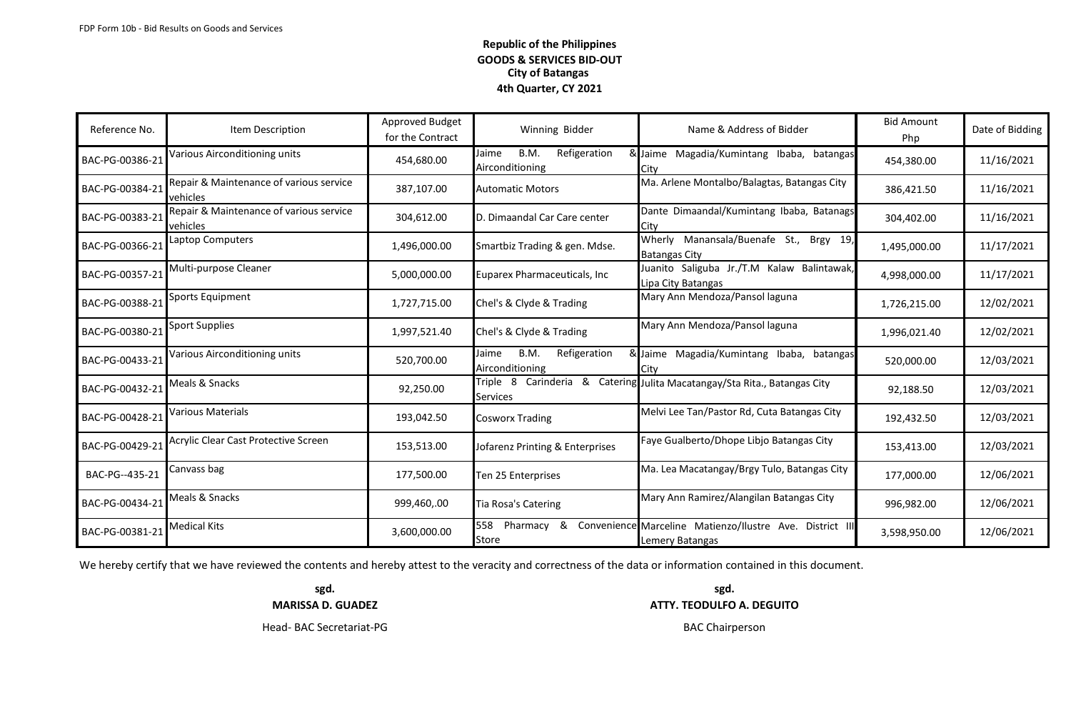| Reference No.   | Item Description                                    | Approved Budget<br>for the Contract | Winning Bidder                                   | Name & Address of Bidder                                                    | <b>Bid Amount</b><br>Php | Date of Bidding |
|-----------------|-----------------------------------------------------|-------------------------------------|--------------------------------------------------|-----------------------------------------------------------------------------|--------------------------|-----------------|
| BAC-PG-00386-21 | Various Airconditioning units                       | 454,680.00                          | B.M.<br>Refigeration<br>Jaime<br>Airconditioning | & Jaime Magadia/Kumintang Ibaba, batangas<br>City                           | 454,380.00               | 11/16/2021      |
| BAC-PG-00384-21 | Repair & Maintenance of various service<br>vehicles | 387,107.00                          | <b>Automatic Motors</b>                          | Ma. Arlene Montalbo/Balagtas, Batangas City                                 | 386,421.50               | 11/16/2021      |
| BAC-PG-00383-21 | Repair & Maintenance of various service<br>vehicles | 304,612.00                          | D. Dimaandal Car Care center                     | Dante Dimaandal/Kumintang Ibaba, Batanags<br>City                           | 304,402.00               | 11/16/2021      |
| BAC-PG-00366-21 | Laptop Computers                                    | 1,496,000.00                        | Smartbiz Trading & gen. Mdse.                    | Wherly Manansala/Buenafe St., Brgy 19,<br><b>Batangas City</b>              | 1,495,000.00             | 11/17/2021      |
| BAC-PG-00357-21 | Multi-purpose Cleaner                               | 5,000,000.00                        | Euparex Pharmaceuticals, Inc                     | Juanito Saliguba Jr./T.M Kalaw Balintawak,<br>Lipa City Batangas            | 4,998,000.00             | 11/17/2021      |
| BAC-PG-00388-21 | Sports Equipment                                    | 1,727,715.00                        | Chel's & Clyde & Trading                         | Mary Ann Mendoza/Pansol laguna                                              | 1,726,215.00             | 12/02/2021      |
| BAC-PG-00380-21 | <b>Sport Supplies</b>                               | 1,997,521.40                        | Chel's & Clyde & Trading                         | Mary Ann Mendoza/Pansol laguna                                              | 1,996,021.40             | 12/02/2021      |
| BAC-PG-00433-21 | Various Airconditioning units                       | 520,700.00                          | B.M.<br>Refigeration<br>Jaime<br>Airconditioning | & Jaime Magadia/Kumintang Ibaba, batangas<br>City                           | 520,000.00               | 12/03/2021      |
| BAC-PG-00432-21 | Meals & Snacks                                      | 92,250.00                           | <b>Services</b>                                  | Triple 8 Carinderia & Catering Julita Macatangay/Sta Rita., Batangas City   | 92,188.50                | 12/03/2021      |
| BAC-PG-00428-21 | <b>Various Materials</b>                            | 193,042.50                          | <b>Cosworx Trading</b>                           | Melvi Lee Tan/Pastor Rd, Cuta Batangas City                                 | 192,432.50               | 12/03/2021      |
| BAC-PG-00429-21 | Acrylic Clear Cast Protective Screen                | 153,513.00                          | Jofarenz Printing & Enterprises                  | Faye Gualberto/Dhope Libjo Batangas City                                    | 153,413.00               | 12/03/2021      |
| BAC-PG--435-21  | Canvass bag                                         | 177,500.00                          | Ten 25 Enterprises                               | Ma. Lea Macatangay/Brgy Tulo, Batangas City                                 | 177,000.00               | 12/06/2021      |
| BAC-PG-00434-21 | Meals & Snacks                                      | 999,460,.00                         | <b>Tia Rosa's Catering</b>                       | Mary Ann Ramirez/Alangilan Batangas City                                    | 996,982.00               | 12/06/2021      |
| BAC-PG-00381-21 | <b>Medical Kits</b>                                 | 3,600,000.00                        | 558<br>Pharmacy<br>&<br>Store                    | Convenience Marceline Matienzo/Ilustre Ave. District III<br>Lemery Batangas | 3,598,950.00             | 12/06/2021      |

We hereby certify that we have reviewed the contents and hereby attest to the veracity and correctness of the data or information contained in this document.

**sgd. sgd. MARISSA D. GUADEZ ATTY. TEODULFO A. DEGUITO**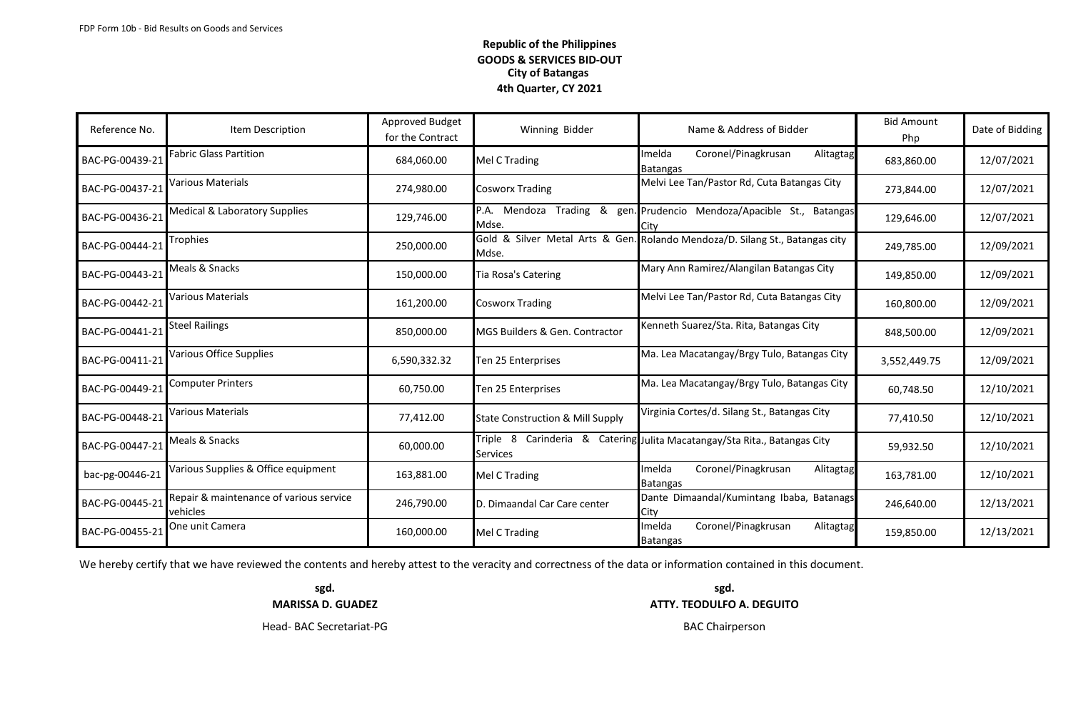| Reference No.   | Item Description                                    | Approved Budget<br>for the Contract | Winning Bidder                              | Name & Address of Bidder                                         | <b>Bid Amount</b><br>Php | Date of Bidding |
|-----------------|-----------------------------------------------------|-------------------------------------|---------------------------------------------|------------------------------------------------------------------|--------------------------|-----------------|
| BAC-PG-00439-21 | Fabric Glass Partition                              | 684,060.00                          | Mel C Trading                               | Coronel/Pinagkrusan<br>Imelda<br>Alitagtag<br><b>Batangas</b>    | 683,860.00               | 12/07/2021      |
| BAC-PG-00437-21 | Various Materials                                   | 274,980.00                          | <b>Cosworx Trading</b>                      | Melvi Lee Tan/Pastor Rd, Cuta Batangas City                      | 273,844.00               | 12/07/2021      |
| BAC-PG-00436-21 | Medical & Laboratory Supplies                       | 129,746.00                          | P.A. Mendoza Trading & gen.<br>Mdse.        | Prudencio Mendoza/Apacible St., Batangas<br>Citv                 | 129,646.00               | 12/07/2021      |
| BAC-PG-00444-21 | Trophies                                            | 250,000.00                          | Gold & Silver Metal Arts & Gen.<br>Mdse.    | Rolando Mendoza/D. Silang St., Batangas city                     | 249,785.00               | 12/09/2021      |
| BAC-PG-00443-21 | Meals & Snacks                                      | 150,000.00                          | Tia Rosa's Catering                         | Mary Ann Ramirez/Alangilan Batangas City                         | 149,850.00               | 12/09/2021      |
| BAC-PG-00442-21 | <b>Various Materials</b>                            | 161,200.00                          | <b>Cosworx Trading</b>                      | Melvi Lee Tan/Pastor Rd, Cuta Batangas City                      | 160,800.00               | 12/09/2021      |
| BAC-PG-00441-21 | <b>Steel Railings</b>                               | 850,000.00                          | MGS Builders & Gen. Contractor              | Kenneth Suarez/Sta. Rita, Batangas City                          | 848,500.00               | 12/09/2021      |
| BAC-PG-00411-21 | <b>Various Office Supplies</b>                      | 6,590,332.32                        | Ten 25 Enterprises                          | Ma. Lea Macatangay/Brgy Tulo, Batangas City                      | 3,552,449.75             | 12/09/2021      |
| BAC-PG-00449-21 | <b>Computer Printers</b>                            | 60,750.00                           | Ten 25 Enterprises                          | Ma. Lea Macatangay/Brgy Tulo, Batangas City                      | 60,748.50                | 12/10/2021      |
| BAC-PG-00448-21 | <b>Various Materials</b>                            | 77,412.00                           | <b>State Construction &amp; Mill Supply</b> | Virginia Cortes/d. Silang St., Batangas City                     | 77,410.50                | 12/10/2021      |
| BAC-PG-00447-21 | Meals & Snacks                                      | 60,000.00                           | Triple 8<br><b>Services</b>                 | Carinderia & Catering Julita Macatangay/Sta Rita., Batangas City | 59,932.50                | 12/10/2021      |
| bac-pg-00446-21 | Various Supplies & Office equipment                 | 163,881.00                          | Mel C Trading                               | Coronel/Pinagkrusan<br>Imelda<br>Alitagtag<br>Batangas           | 163,781.00               | 12/10/2021      |
| BAC-PG-00445-21 | Repair & maintenance of various service<br>vehicles | 246,790.00                          | D. Dimaandal Car Care center                | Dante Dimaandal/Kumintang Ibaba, Batanags<br>City                | 246,640.00               | 12/13/2021      |
| BAC-PG-00455-21 | One unit Camera                                     | 160,000.00                          | Mel C Trading                               | Coronel/Pinagkrusan<br>Imelda<br>Alitagtag<br><b>Batangas</b>    | 159,850.00               | 12/13/2021      |

We hereby certify that we have reviewed the contents and hereby attest to the veracity and correctness of the data or information contained in this document.

**sgd. sgd. MARISSA D. GUADEZ ATTY. TEODULFO A. DEGUITO**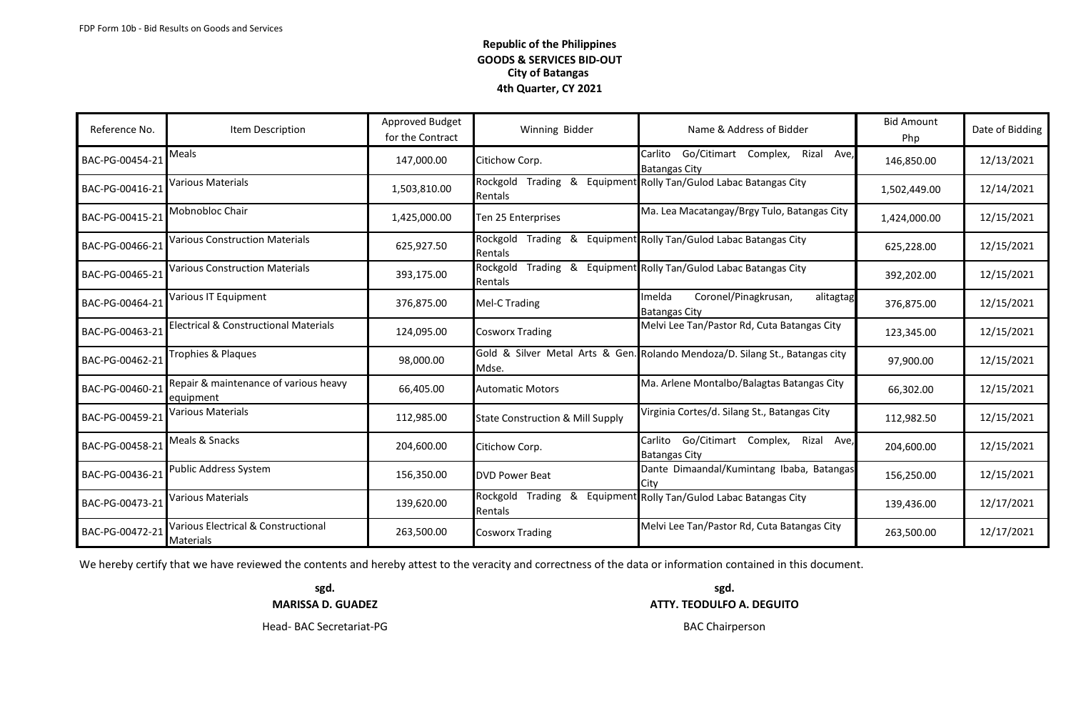| Reference No.   | Item Description                                   | Approved Budget<br>for the Contract | Winning Bidder                                   | Name & Address of Bidder                                                 | <b>Bid Amount</b><br><b>Php</b> | Date of Bidding |
|-----------------|----------------------------------------------------|-------------------------------------|--------------------------------------------------|--------------------------------------------------------------------------|---------------------------------|-----------------|
| BAC-PG-00454-21 | Meals                                              | 147,000.00                          | Citichow Corp.                                   | Go/Citimart Complex,<br>Rizal<br>Carlito<br>Ave,<br><b>Batangas City</b> | 146,850.00                      | 12/13/2021      |
| BAC-PG-00416-21 | Various Materials                                  | 1,503,810.00                        | Rockgold<br>&<br>Trading<br>Rentals              | Equipment Rolly Tan/Gulod Labac Batangas City                            | 1,502,449.00                    | 12/14/2021      |
| BAC-PG-00415-21 | Mobnobloc Chair                                    | 1,425,000.00                        | Ten 25 Enterprises                               | Ma. Lea Macatangay/Brgy Tulo, Batangas City                              | 1,424,000.00                    | 12/15/2021      |
| BAC-PG-00466-21 | Various Construction Materials                     | 625,927.50                          | Rockgold<br>Trading<br>&<br>Rentals              | Equipment Rolly Tan/Gulod Labac Batangas City                            | 625,228.00                      | 12/15/2021      |
| BAC-PG-00465-21 | <b>Various Construction Materials</b>              | 393,175.00                          | Rockgold<br>Trading<br>Rentals                   | & Equipment Rolly Tan/Gulod Labac Batangas City                          | 392,202.00                      | 12/15/2021      |
| BAC-PG-00464-21 | Various IT Equipment                               | 376,875.00                          | Mel-C Trading                                    | Coronel/Pinagkrusan,<br>Imelda<br>alitagtag<br><b>Batangas City</b>      | 376,875.00                      | 12/15/2021      |
| BAC-PG-00463-21 | Electrical & Constructional Materials              | 124,095.00                          | <b>Cosworx Trading</b>                           | Melvi Lee Tan/Pastor Rd, Cuta Batangas City                              | 123,345.00                      | 12/15/2021      |
| BAC-PG-00462-21 | Trophies & Plaques                                 | 98,000.00                           | Gold & Silver Metal Arts & Gen.<br>Mdse.         | . Rolando Mendoza/D. Silang St., Batangas city                           | 97,900.00                       | 12/15/2021      |
| BAC-PG-00460-21 | Repair & maintenance of various heavy<br>equipment | 66,405.00                           | <b>Automatic Motors</b>                          | Ma. Arlene Montalbo/Balagtas Batangas City                               | 66,302.00                       | 12/15/2021      |
| BAC-PG-00459-21 | Various Materials                                  | 112,985.00                          | <b>State Construction &amp; Mill Supply</b>      | Virginia Cortes/d. Silang St., Batangas City                             | 112,982.50                      | 12/15/2021      |
| BAC-PG-00458-21 | Meals & Snacks                                     | 204,600.00                          | Citichow Corp.                                   | Go/Citimart Complex,<br>Carlito<br>Rizal<br>Ave,<br><b>Batangas City</b> | 204,600.00                      | 12/15/2021      |
| BAC-PG-00436-21 | Public Address System                              | 156,350.00                          | <b>DVD Power Beat</b>                            | Dante Dimaandal/Kumintang Ibaba, Batangas<br>City                        | 156,250.00                      | 12/15/2021      |
| BAC-PG-00473-21 | Various Materials                                  | 139,620.00                          | Rockgold<br>Trading<br>&<br>Equipment<br>Rentals | Rolly Tan/Gulod Labac Batangas City                                      | 139,436.00                      | 12/17/2021      |
| BAC-PG-00472-21 | Various Electrical & Constructional<br>Materials   | 263,500.00                          | <b>Cosworx Trading</b>                           | Melvi Lee Tan/Pastor Rd, Cuta Batangas City                              | 263,500.00                      | 12/17/2021      |

We hereby certify that we have reviewed the contents and hereby attest to the veracity and correctness of the data or information contained in this document.

**sgd. sgd. MARISSA D. GUADEZ ATTY. TEODULFO A. DEGUITO**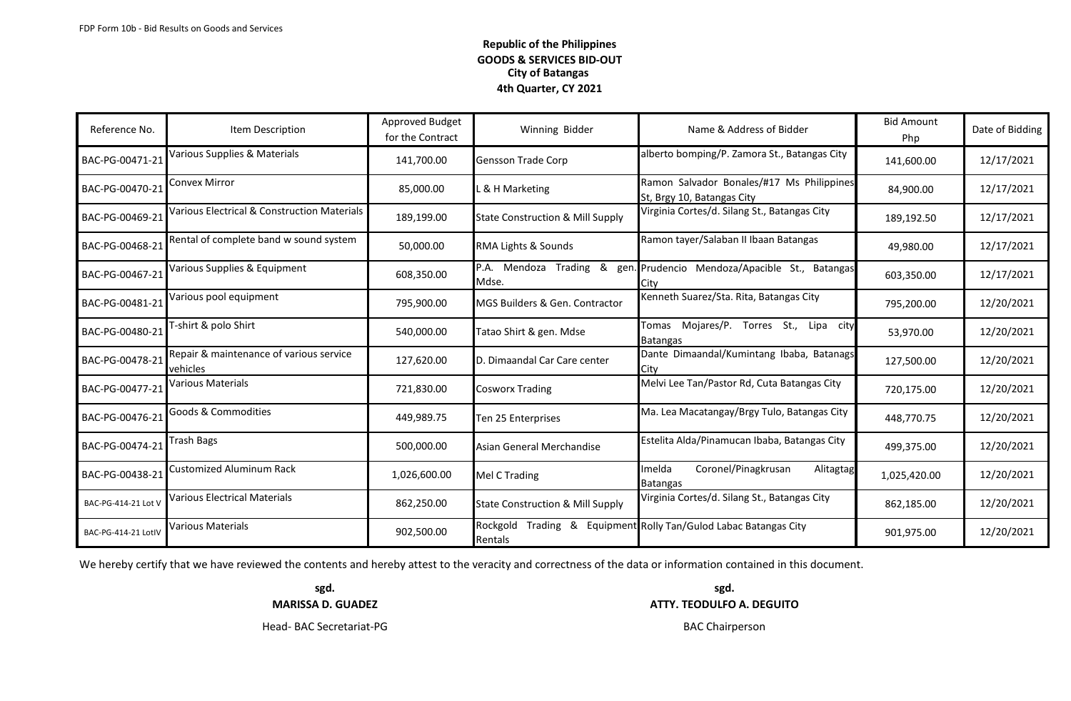| Reference No.       | Item Description                                    | Approved Budget<br>for the Contract | Winning Bidder<br>Name & Address of Bidder  |                                                                         | <b>Bid Amount</b><br>Php | Date of Bidding |
|---------------------|-----------------------------------------------------|-------------------------------------|---------------------------------------------|-------------------------------------------------------------------------|--------------------------|-----------------|
| BAC-PG-00471-21     | Various Supplies & Materials                        | 141,700.00                          | <b>Gensson Trade Corp</b>                   | alberto bomping/P. Zamora St., Batangas City                            | 141,600.00               | 12/17/2021      |
| BAC-PG-00470-21     | Convex Mirror                                       | 85,000.00                           | & H Marketing                               | Ramon Salvador Bonales/#17 Ms Philippines<br>St, Brgy 10, Batangas City | 84,900.00                | 12/17/2021      |
| BAC-PG-00469-21     | Various Electrical & Construction Materials         | 189,199.00                          | <b>State Construction &amp; Mill Supply</b> | Virginia Cortes/d. Silang St., Batangas City                            | 189,192.50               | 12/17/2021      |
| BAC-PG-00468-21     | Rental of complete band w sound system              | 50,000.00                           | RMA Lights & Sounds                         | Ramon tayer/Salaban II Ibaan Batangas                                   | 49,980.00                | 12/17/2021      |
| BAC-PG-00467-21     | Various Supplies & Equipment                        | 608,350.00                          | Trading & gen.<br>P.A. Mendoza<br>Mdse.     | Prudencio Mendoza/Apacible St., Batangas<br>Citv                        | 603,350.00               | 12/17/2021      |
| BAC-PG-00481-21     | Various pool equipment                              | 795,900.00                          | MGS Builders & Gen. Contractor              | Kenneth Suarez/Sta. Rita, Batangas City                                 | 795,200.00               | 12/20/2021      |
| BAC-PG-00480-21     | T-shirt & polo Shirt                                | 540,000.00                          | Tatao Shirt & gen. Mdse                     | Mojares/P. Torres St., Lipa city<br>Tomas<br><b>Batangas</b>            | 53,970.00                | 12/20/2021      |
| BAC-PG-00478-21     | Repair & maintenance of various service<br>vehicles | 127,620.00                          | D. Dimaandal Car Care center                | Dante Dimaandal/Kumintang Ibaba, Batanags<br>Citv                       | 127,500.00               | 12/20/2021      |
| BAC-PG-00477-21     | Various Materials                                   | 721,830.00                          | <b>Cosworx Trading</b>                      | Melvi Lee Tan/Pastor Rd, Cuta Batangas City                             | 720,175.00               | 12/20/2021      |
| BAC-PG-00476-21     | <b>Goods &amp; Commodities</b>                      | 449,989.75                          | Ten 25 Enterprises                          | Ma. Lea Macatangay/Brgy Tulo, Batangas City                             | 448,770.75               | 12/20/2021      |
| BAC-PG-00474-21     | Trash Bags                                          | 500,000.00                          | Asian General Merchandise                   | Estelita Alda/Pinamucan Ibaba, Batangas City                            | 499,375.00               | 12/20/2021      |
| BAC-PG-00438-21     | Customized Aluminum Rack                            | 1,026,600.00                        | Mel C Trading                               | Coronel/Pinagkrusan<br>melda<br>Alitagtag<br><b>Batangas</b>            | 1,025,420.00             | 12/20/2021      |
| BAC-PG-414-21 Lot \ | Various Electrical Materials                        | 862,250.00                          | <b>State Construction &amp; Mill Supply</b> | Virginia Cortes/d. Silang St., Batangas City                            | 862,185.00               | 12/20/2021      |
| BAC-PG-414-21 LotIV | Various Materials                                   | 902,500.00                          | Rockgold<br>Trading & Equipment<br>Rentals  | Rolly Tan/Gulod Labac Batangas City                                     | 901,975.00               | 12/20/2021      |

We hereby certify that we have reviewed the contents and hereby attest to the veracity and correctness of the data or information contained in this document.

**sgd. sgd.**

**MARISSA D. GUADEZ ATTY. TEODULFO A. DEGUITO**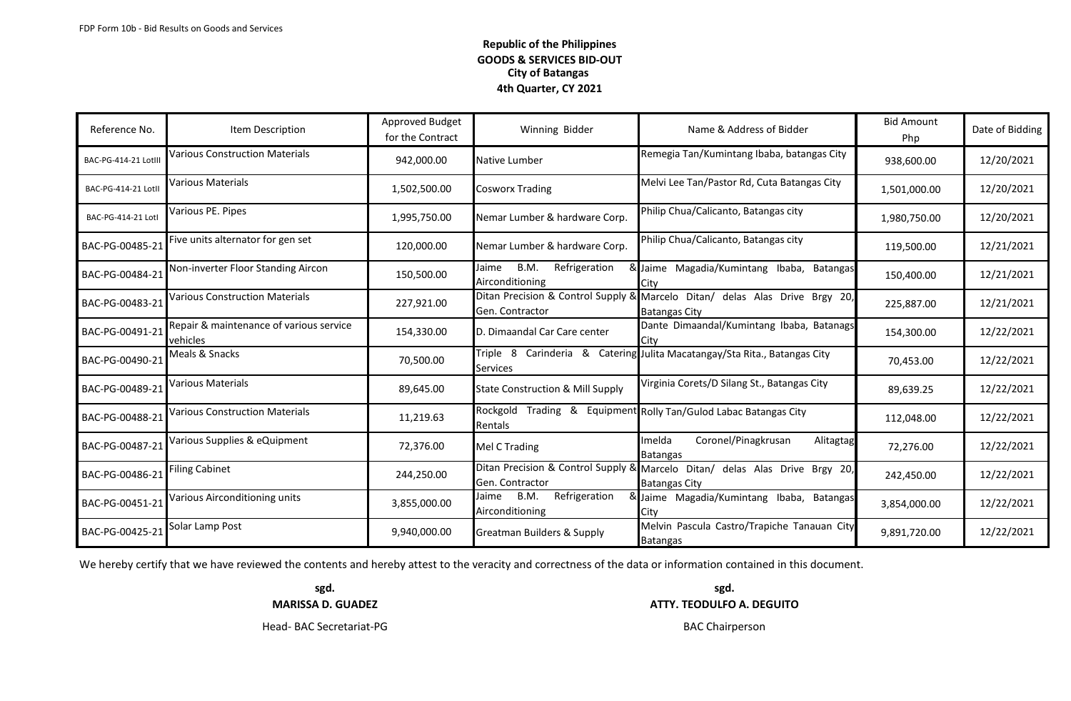| Reference No.       | Item Description                                           | Approved Budget<br>for the Contract | Winning Bidder                                    | Name & Address of Bidder                                                                            | <b>Bid Amount</b><br>Php | Date of Bidding |
|---------------------|------------------------------------------------------------|-------------------------------------|---------------------------------------------------|-----------------------------------------------------------------------------------------------------|--------------------------|-----------------|
| BAC-PG-414-21 Lotll | <b>Various Construction Materials</b>                      | 942,000.00                          | Native Lumber                                     | Remegia Tan/Kumintang Ibaba, batangas City                                                          | 938,600.00               | 12/20/2021      |
| BAC-PG-414-21 Lotl  | Various Materials                                          | 1,502,500.00                        | <b>Cosworx Trading</b>                            | Melvi Lee Tan/Pastor Rd, Cuta Batangas City                                                         | 1,501,000.00             | 12/20/2021      |
| BAC-PG-414-21 Lotl  | Various PE. Pipes                                          | 1,995,750.00                        | Nemar Lumber & hardware Corp.                     | Philip Chua/Calicanto, Batangas city                                                                | 1,980,750.00             | 12/20/2021      |
| BAC-PG-00485-21     | Five units alternator for gen set                          | 120,000.00                          | Nemar Lumber & hardware Corp.                     | Philip Chua/Calicanto, Batangas city                                                                | 119,500.00               | 12/21/2021      |
| BAC-PG-00484-21     | Non-inverter Floor Standing Aircon                         | 150,500.00                          | B.M.<br>Refrigeration<br>Jaime<br>Airconditioning | & Jaime Magadia/Kumintang Ibaba, Batangas<br>City                                                   | 150,400.00               | 12/21/2021      |
| BAC-PG-00483-21     | <b>Various Construction Materials</b>                      | 227,921.00                          | Gen. Contractor                                   | Ditan Precision & Control Supply & Marcelo Ditan/ delas Alas Drive Brgy 20,<br><b>Batangas City</b> | 225,887.00               | 12/21/2021      |
| BAC-PG-00491-21     | Repair & maintenance of various service<br><b>vehicles</b> | 154,330.00                          | D. Dimaandal Car Care center                      | Dante Dimaandal/Kumintang Ibaba, Batanags<br>ICitv                                                  | 154,300.00               | 12/22/2021      |
| BAC-PG-00490-21     | Meals & Snacks                                             | 70,500.00                           | <b>Services</b>                                   | Triple 8 Carinderia & Catering Julita Macatangay/Sta Rita., Batangas City                           | 70,453.00                | 12/22/2021      |
| BAC-PG-00489-21     | Various Materials                                          | 89,645.00                           | <b>State Construction &amp; Mill Supply</b>       | Virginia Corets/D Silang St., Batangas City                                                         | 89,639.25                | 12/22/2021      |
| BAC-PG-00488-21     | <b>Various Construction Materials</b>                      | 11,219.63                           | Rockgold<br>Rentals                               | Trading & Equipment Rolly Tan/Gulod Labac Batangas City                                             | 112,048.00               | 12/22/2021      |
| BAC-PG-00487-21     | Various Supplies & eQuipment                               | 72,376.00                           | Mel C Trading                                     | Imelda<br>Coronel/Pinagkrusan<br>Alitagtag<br><b>Batangas</b>                                       | 72,276.00                | 12/22/2021      |
| BAC-PG-00486-21     | <b>Filing Cabinet</b>                                      | 244,250.00                          | Gen. Contractor                                   | Ditan Precision & Control Supply & Marcelo Ditan/ delas Alas Drive Brgy 20,<br><b>Batangas City</b> | 242,450.00               | 12/22/2021      |
| BAC-PG-00451-21     | <b>Various Airconditioning units</b>                       | 3,855,000.00                        | B.M.<br>Refrigeration<br>Jaime<br>Airconditioning | & Jaime Magadia/Kumintang Ibaba, Batangas<br>City                                                   | 3,854,000.00             | 12/22/2021      |
| BAC-PG-00425-21     | Solar Lamp Post                                            | 9,940,000.00                        | <b>Greatman Builders &amp; Supply</b>             | Melvin Pascula Castro/Trapiche Tanauan City<br><b>Batangas</b>                                      | 9,891,720.00             | 12/22/2021      |

We hereby certify that we have reviewed the contents and hereby attest to the veracity and correctness of the data or information contained in this document.

**sgd. sgd.**

**MARISSA D. GUADEZ ATTY. TEODULFO A. DEGUITO**